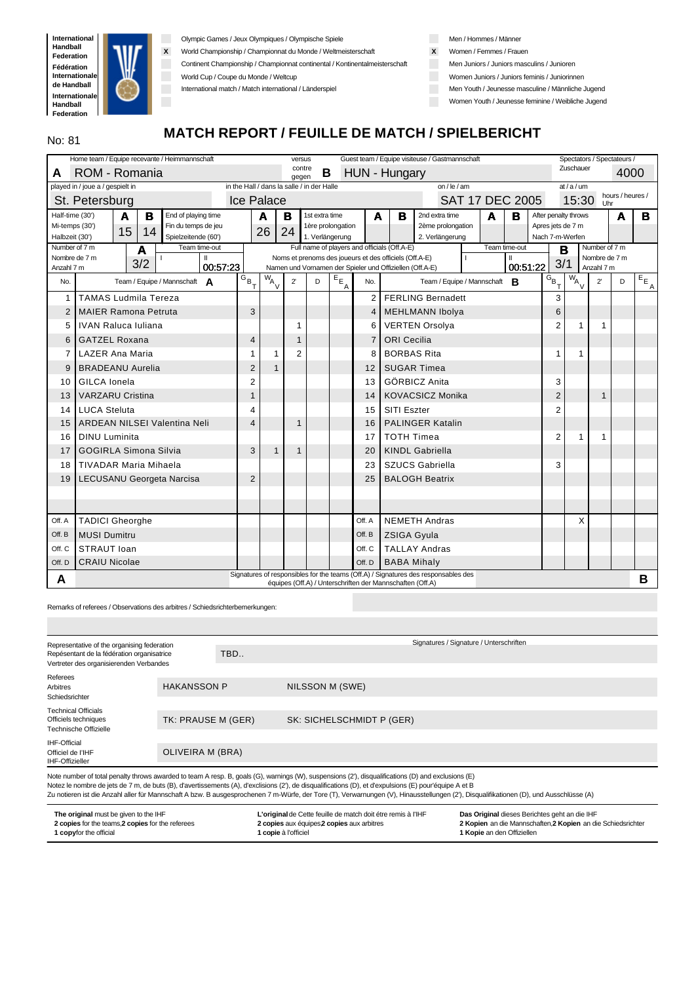

Olympic Games / Jeux Olympiques / Olympische Spiele

**X** World Championship / Championnat du Monde / Weltmeisterschaft

Continent Championship / Championnat continental / Kontinentalmeisterschaft

World Cup / Coupe du Monde / Weltcup

International match / Match international / Länderspiel

Men / Hommes / Männer

- **X** Women / Femmes / Frauen
- **Men Juniors / Juniors masculins / Junioren**
- Women Juniors / Juniors feminis / Juniorinnen
- Men Youth / Jeunesse masculine / Männliche Jugend

Women Youth / Jeunesse feminine / Weibliche Jugend

# No: 81 MATCH REPORT / FEUILLE DE MATCH / SPIELBERICHT

|                                 | Home team / Equipe recevante / Heimmannschaft<br>Guest team / Equipe visiteuse / Gastmannschaft<br>Spectators / Spectateurs /<br>versus |     |                                      |          |                                   |                                            |                 |                 |                         |                |                                                           |                                                                                    |                        |   |               |                    |                      |               |                  |                         |
|---------------------------------|-----------------------------------------------------------------------------------------------------------------------------------------|-----|--------------------------------------|----------|-----------------------------------|--------------------------------------------|-----------------|-----------------|-------------------------|----------------|-----------------------------------------------------------|------------------------------------------------------------------------------------|------------------------|---|---------------|--------------------|----------------------|---------------|------------------|-------------------------|
| A                               | ROM - Romania                                                                                                                           |     |                                      |          |                                   |                                            | contre<br>gegen | B               |                         |                | HUN - Hungary                                             |                                                                                    |                        |   |               |                    | Zuschauer            |               | 4000             |                         |
|                                 | played in / joue a / gespielt in                                                                                                        |     |                                      |          |                                   | in the Hall / dans la salle / in der Halle |                 |                 |                         |                |                                                           | on / $le$ / am                                                                     |                        |   |               |                    | at/a/um              |               |                  |                         |
|                                 | St. Petersburg                                                                                                                          |     |                                      |          |                                   | <b>Ice Palace</b>                          |                 |                 |                         |                |                                                           |                                                                                    | <b>SAT 17 DEC 2005</b> |   |               |                    | 15:30                | <b>Uhr</b>    | hours / heures / |                         |
| Half-time (30')                 | A                                                                                                                                       | в   | End of playing time                  |          |                                   | A                                          | в               | 1st extra time  |                         | A              | в                                                         | 2nd extra time                                                                     |                        | A | в             |                    | After penalty throws |               | A                | в                       |
| Mi-temps (30')                  | 15                                                                                                                                      | 14  | Fin du temps de jeu                  |          |                                   | 26                                         | 24              |                 | 1ère prolongation       |                |                                                           | 2ème prolongation                                                                  |                        |   |               | Apres jets de 7 m  |                      |               |                  |                         |
| Halbzeit (30')<br>Number of 7 m |                                                                                                                                         |     | Spielzeitende (60')<br>Team time-out |          |                                   |                                            |                 | 1. Verlängerung |                         |                | Full name of players and officials (Off.A-E)              | 2. Verlängerung                                                                    |                        |   | Team time-out |                    | Nach 7-m-Werfen      | Number of 7 m |                  |                         |
|                                 | Nombre de 7 m                                                                                                                           | A   | Ш                                    |          |                                   |                                            |                 |                 |                         |                | Noms et prenoms des joueurs et des officiels (Off.A-E)    |                                                                                    |                        |   |               | B                  |                      | Nombre de 7 m |                  |                         |
| Anzahl 7 m                      |                                                                                                                                         | 3/2 |                                      | 00:57:23 |                                   |                                            |                 |                 |                         |                | Namen und Vornamen der Spieler und Offiziellen (Off.A-E)  |                                                                                    |                        |   | 00:51:22      | 3/1                |                      | Anzahl 7 m    |                  |                         |
| No.                             |                                                                                                                                         |     | Team / Equipe / Mannschaft A         |          | $\overline{G}_{B_{\overline{T}}}$ | $W_{A}$                                    | $2^{\prime}$    | D               | $E_{E_{\underline{A}}}$ | No.            |                                                           | Team / Equipe / Mannschaft                                                         |                        |   | B             | $\overline{G}_{B}$ | $\overline{w}_{A}$   | $2^{\prime}$  | D                | $E_{E_{\underline{A}}}$ |
| $\mathbf 1$                     | <b>TAMAS Ludmila Tereza</b>                                                                                                             |     |                                      |          |                                   |                                            |                 |                 |                         | $\overline{2}$ |                                                           | <b>FERLING Bernadett</b>                                                           |                        |   |               | 3                  |                      |               |                  |                         |
| $\overline{2}$                  | <b>MAIER Ramona Petruta</b>                                                                                                             |     |                                      |          | 3                                 |                                            |                 |                 |                         | 4              |                                                           | <b>MEHLMANN Ibolya</b>                                                             |                        |   |               | 6                  |                      |               |                  |                         |
| 5                               | <b>IVAN Raluca Iuliana</b>                                                                                                              |     |                                      |          |                                   |                                            | 1               |                 |                         | 6              |                                                           | <b>VERTEN Orsolya</b>                                                              |                        |   |               | $\overline{2}$     |                      | 1             |                  |                         |
| 6                               | <b>GATZEL Roxana</b>                                                                                                                    |     |                                      |          | $\overline{4}$                    |                                            | 1               |                 |                         | $\overline{7}$ | <b>ORI Cecilia</b>                                        |                                                                                    |                        |   |               |                    |                      |               |                  |                         |
| $\overline{7}$                  | <b>LAZER Ana Maria</b>                                                                                                                  |     |                                      |          | 1                                 | 1                                          | $\overline{2}$  |                 |                         | 8              | <b>BORBAS Rita</b>                                        |                                                                                    |                        |   |               | 1                  | 1                    |               |                  |                         |
| 9                               | <b>BRADEANU Aurelia</b>                                                                                                                 |     |                                      |          | $\overline{2}$                    | $\mathbf{1}$                               |                 |                 |                         | 12             |                                                           | <b>SUGAR Timea</b>                                                                 |                        |   |               |                    |                      |               |                  |                         |
| 10                              | GILCA Ionela                                                                                                                            |     |                                      |          | $\overline{2}$                    |                                            |                 |                 |                         | 13             |                                                           | <b>GÖRBICZ Anita</b>                                                               |                        |   |               | 3                  |                      |               |                  |                         |
| 13                              | <b>VARZARU Cristina</b>                                                                                                                 |     |                                      |          | 1                                 |                                            |                 |                 |                         | 14             |                                                           | <b>KOVACSICZ Monika</b>                                                            |                        |   |               | $\overline{2}$     |                      | $\mathbf{1}$  |                  |                         |
| 14                              | <b>LUCA Steluta</b>                                                                                                                     |     |                                      |          | 4                                 |                                            |                 |                 |                         | 15             | SITI Eszter                                               |                                                                                    |                        |   |               | 2                  |                      |               |                  |                         |
| 15                              | <b>ARDEAN NILSEI Valentina Neli</b>                                                                                                     |     |                                      |          | $\overline{4}$                    |                                            | $\mathbf{1}$    |                 |                         | 16             |                                                           | <b>PALINGER Katalin</b>                                                            |                        |   |               |                    |                      |               |                  |                         |
| 16                              | <b>DINU Luminita</b>                                                                                                                    |     |                                      |          |                                   |                                            |                 |                 |                         | 17             | <b>TOTH Timea</b>                                         |                                                                                    |                        |   |               | $\overline{2}$     | 1                    |               |                  |                         |
| 17                              | <b>GOGIRLA Simona Silvia</b>                                                                                                            |     |                                      |          | 3                                 | $\mathbf{1}$                               | $\mathbf{1}$    |                 |                         | 20             |                                                           | <b>KINDL Gabriella</b>                                                             |                        |   |               |                    |                      |               |                  |                         |
| 18                              | TIVADAR Maria Mihaela                                                                                                                   |     |                                      |          |                                   |                                            |                 |                 |                         | 23             |                                                           | <b>SZUCS Gabriella</b>                                                             |                        |   |               | 3                  |                      |               |                  |                         |
| 19                              | <b>LECUSANU Georgeta Narcisa</b>                                                                                                        |     |                                      |          | $\overline{2}$                    |                                            |                 |                 |                         | 25             |                                                           | <b>BALOGH Beatrix</b>                                                              |                        |   |               |                    |                      |               |                  |                         |
|                                 |                                                                                                                                         |     |                                      |          |                                   |                                            |                 |                 |                         |                |                                                           |                                                                                    |                        |   |               |                    |                      |               |                  |                         |
|                                 |                                                                                                                                         |     |                                      |          |                                   |                                            |                 |                 |                         |                |                                                           |                                                                                    |                        |   |               |                    |                      |               |                  |                         |
| Off. A                          | <b>TADICI Gheorghe</b>                                                                                                                  |     |                                      |          |                                   |                                            |                 |                 |                         | Off. A         |                                                           | <b>NEMETH Andras</b>                                                               |                        |   |               |                    | X                    |               |                  |                         |
| Off. B                          | <b>MUSI Dumitru</b>                                                                                                                     |     |                                      |          |                                   |                                            |                 |                 |                         | Off. B         | <b>ZSIGA Gyula</b>                                        |                                                                                    |                        |   |               |                    |                      |               |                  |                         |
| Off. C                          | STRAUT Ioan                                                                                                                             |     |                                      |          |                                   |                                            |                 |                 |                         | Off. C         |                                                           | <b>TALLAY Andras</b>                                                               |                        |   |               |                    |                      |               |                  |                         |
| Off. D                          | <b>CRAIU Nicolae</b>                                                                                                                    |     |                                      |          |                                   |                                            |                 |                 |                         | Off. D         | <b>BABA Mihaly</b>                                        |                                                                                    |                        |   |               |                    |                      |               |                  |                         |
| A                               |                                                                                                                                         |     |                                      |          |                                   |                                            |                 |                 |                         |                | équipes (Off.A) / Unterschriften der Mannschaften (Off.A) | Signatures of responsibles for the teams (Off.A) / Signatures des responsables des |                        |   |               |                    |                      |               |                  | B                       |
|                                 |                                                                                                                                         |     |                                      |          |                                   |                                            |                 |                 |                         |                |                                                           |                                                                                    |                        |   |               |                    |                      |               |                  |                         |

Remarks of referees / Observations des arbitres / Schiedsrichterbemerkungen:

| Signatures / Signature / Unterschriften |
|-----------------------------------------|
|                                         |
|                                         |
| NILSSON M (SWE)                         |
|                                         |
| SK: SICHELSCHMIDT P (GER)               |
|                                         |
|                                         |
|                                         |

Note number of total penalty throws awarded to team A resp. B, goals (G), warnings (W), suspensions (2'), disqualifications (D) and exclusions (E)<br>Notez le nombre de jets de 7 m, de buts (B), d'avertissements (A), d'exclis

Zu notieren ist die Anzahl aller für Mannschaft A bzw. B ausgesprochenen 7 m-Würfe, der Tore (T), Verwarnungen (V), Hinausstellungen (2'), Disqualifikationen (D), und Ausschlüsse (A)

| The original must be given to the IHF             | L'original de Cette feuille de match doit étre remis à l'IHF | Das Original dieses Berichtes geht an die IHF                |
|---------------------------------------------------|--------------------------------------------------------------|--------------------------------------------------------------|
| 2 copies for the teams, 2 copies for the referees | 2 copies aux équipes 2 copies aux arbitres                   | 2 Kopien an die Mannschaften, 2 Kopien an die Schiedsrichter |
| <b>1 copyfor the official</b>                     | <b>1 copie</b> à l'officiel                                  | <b>1 Kopie</b> an den Offiziellen                            |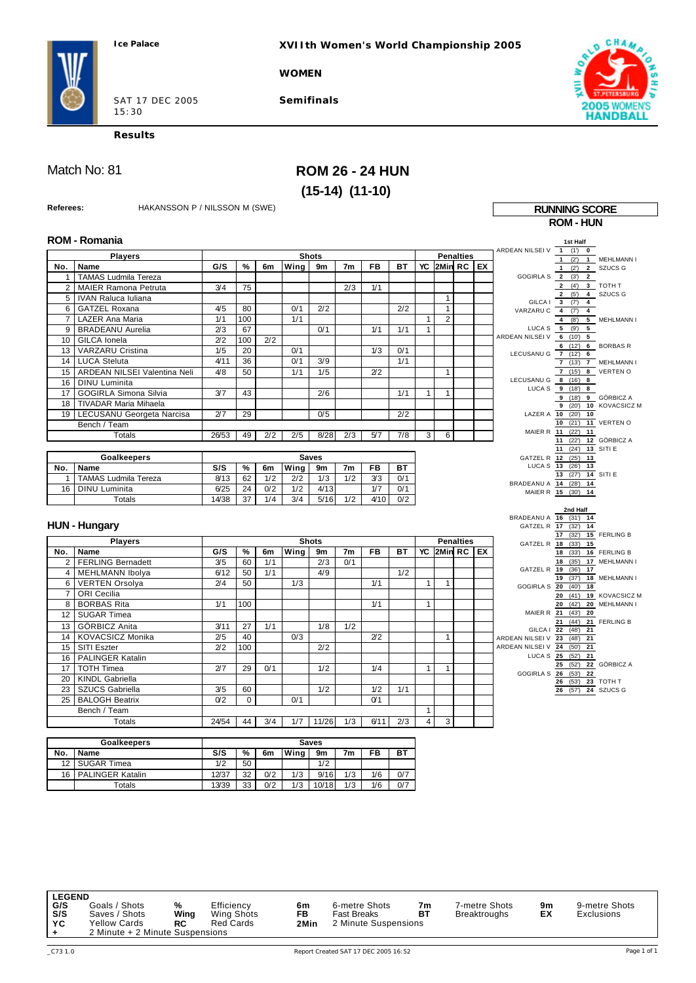**XVIIth Women's World Championship 2005**

**WOMEN**



SAT 17 DEC 2005 15:30

**Semifinals**



**Results**

## Match No: 81 **ROM 26 - 24 HUN (15-14) (11-10)**

| Referees:      | HAKANSSON P / NILSSON M (SWE)                                                                |                |      |     |      |              |                |                |     |              |                |                  |  | <b>RUNNING SCORE</b>                                             |
|----------------|----------------------------------------------------------------------------------------------|----------------|------|-----|------|--------------|----------------|----------------|-----|--------------|----------------|------------------|--|------------------------------------------------------------------|
|                |                                                                                              |                |      |     |      |              |                |                |     |              |                |                  |  | <b>ROM-HUN</b>                                                   |
|                | <b>ROM - Romania</b>                                                                         |                |      |     |      |              |                |                |     |              |                |                  |  |                                                                  |
|                |                                                                                              |                |      |     |      |              |                |                |     |              |                |                  |  | 1st Half<br>ARDEAN NILSEI V 1<br>(1)<br>$\pmb{0}$                |
|                | <b>Players</b>                                                                               |                |      |     |      | <b>Shots</b> |                |                |     |              |                | <b>Penalties</b> |  | (2)<br>$\mathbf{1}$<br>1 MEHLMANN I                              |
| No.            | Name                                                                                         | G/S            | $\%$ | 6m  | Wing | 9m           | 7 <sub>m</sub> | FB             | BT  | YC           |                | 2Min RC EX       |  | 2 SZUCS G<br>1 $(2)$                                             |
| $\mathbf{1}$   | <b>TAMAS Ludmila Tereza</b>                                                                  |                |      |     |      |              |                |                |     |              |                |                  |  | GOGIRLA S 2 (3')<br>$\overline{2}$                               |
| $\overline{2}$ | <b>MAIER Ramona Petruta</b>                                                                  | 3/4            | 75   |     |      |              | 2/3            | 1/1            |     |              |                |                  |  | 2 (4)<br>3 TOTH T<br>4 SZUCS G                                   |
| 5              | <b>IVAN Raluca Iuliana</b>                                                                   |                |      |     |      |              |                |                |     |              | $\mathbf{1}$   |                  |  | 2 (5)<br>GILCA   3 (7)<br>$\overline{4}$                         |
| 6              | GATZEL Roxana                                                                                | 4/5            | 80   |     | 0/1  | 2/2          |                |                | 2/2 |              | 1              |                  |  | VARZARUC 4 (7)<br>$\overline{4}$                                 |
| $\overline{7}$ | LAZER Ana Maria                                                                              | 1/1            | 100  |     | 1/1  |              |                |                |     | $\mathbf{1}$ | $\overline{2}$ |                  |  | 5 MEHLMANN I<br>$\overline{4}$<br>(8)                            |
| 9              | <b>BRADEANU Aurelia</b>                                                                      | 2/3            | 67   |     |      | 0/1          |                | 1/1            | 1/1 | $\mathbf{1}$ |                |                  |  | LUCA S $5$ (9')<br>$5^{\circ}$<br>5                              |
| 10             | GILCA Ionela                                                                                 | 2/2            | 100  | 2/2 |      |              |                |                |     |              |                |                  |  | ARDEAN NILSEI V 6 (10')<br>6 (12') 6 BORBAS R                    |
| 13             | VARZARU Cristina                                                                             | 1/5            | 20   |     | 0/1  |              |                | 1/3            | 0/1 |              |                |                  |  | LECUSANU G 7 (12')<br>6                                          |
| 14             | <b>LUCA Steluta</b>                                                                          | 4/11           | 36   |     | 0/1  | 3/9          |                |                | 1/1 |              |                |                  |  | 7 (13') 7 MEHLMANN I                                             |
| 15             | ARDEAN NILSEI Valentina Neli                                                                 | 4/8            | 50   |     | 1/1  | 1/5          |                | 2/2            |     |              | 1              |                  |  | 7 (15') 8 VERTEN O                                               |
| 16             | <b>DINU</b> Luminita                                                                         |                |      |     |      |              |                |                |     |              |                |                  |  | LECUSANU G 8 (16')<br>8<br>LUCA S 9 (18')<br>8                   |
| 17             | <b>GOGIRLA Simona Silvia</b>                                                                 | 3/7            | 43   |     |      | 2/6          |                |                | 1/1 | $\mathbf{1}$ | $\mathbf{1}$   |                  |  | 9(18)<br>9 GÖRBICZ A                                             |
| 18             | <b>TIVADAR Maria Mihaela</b>                                                                 |                |      |     |      |              |                |                |     |              |                |                  |  | 9 (20)<br>10 KOVACSICZ M                                         |
| 19             | LECUSANU Georgeta Narcisa                                                                    | 2/7            | 29   |     |      | 0/5          |                |                | 2/2 |              |                |                  |  | LAZER A 10 (20')<br>10                                           |
|                | Bench / Team                                                                                 |                |      |     |      |              |                |                |     |              |                |                  |  | 10 (21') 11 VERTEN O<br>MAIER R 11 (22')<br>11                   |
|                | <b>Totals</b>                                                                                | 26/53          | 49   | 2/2 | 2/5  | 8/28         | 2/3            | 5/7            | 7/8 | 3            | 6              |                  |  | 12 GÖRBICZ A<br>11<br>(22')                                      |
|                |                                                                                              |                |      |     |      |              |                |                |     |              |                |                  |  | 11 (24') 13 SITI E                                               |
|                | <b>Goalkeepers</b>                                                                           |                |      |     |      | <b>Saves</b> |                |                |     |              |                |                  |  | GATZEL R 12 (25') 13                                             |
| No.            | Name                                                                                         | S/S            | %    | 6m  | Wing | 9m           | 7m             | <b>FB</b>      | BT  |              |                |                  |  | LUCA S 13 (26') 13<br>13 $(27)$ 14 SITI E                        |
| 1              | TAMAS Ludmila Tereza                                                                         | 8/13           | 62   | 1/2 | 2/2  | 1/3          | 1/2            | 3/3            | 0/1 |              |                |                  |  | BRADEANU A 14 (28') 14                                           |
| 16             | <b>DINU Luminita</b>                                                                         | 6/25           | 24   | 0/2 | 1/2  | 4/13         |                | 1/7            | 0/1 |              |                |                  |  | MAIER R 15 (30')<br>14                                           |
|                | Totals                                                                                       | 14/38          | 37   | 1/4 | 3/4  | 5/16         | 1/2            | 4/10           | 0/2 |              |                |                  |  |                                                                  |
|                |                                                                                              |                |      |     |      |              |                |                |     |              |                |                  |  | 2nd Half<br>BRADEANU A 16 (31') 14                               |
|                | <b>HUN - Hungary</b>                                                                         |                |      |     |      |              |                |                |     |              |                |                  |  | GATZEL R 17<br>(32')<br>14                                       |
|                | <b>Players</b>                                                                               |                |      |     |      | <b>Shots</b> |                |                |     |              |                | <b>Penalties</b> |  | (32)<br>15 FERLING B<br>17                                       |
| No.            | Name                                                                                         | G/S            | %    | 6m  | Wing |              | 7m             | <b>FB</b>      | BT  | YC           |                | $2$ Min RC $E$   |  | GATZEL R 18 (33')<br>15                                          |
| $\overline{2}$ | <b>FERLING Bernadett</b>                                                                     | 3/5            | 60   | 1/1 |      | 9m<br>2/3    | 0/1            |                |     |              |                |                  |  | 18 (33')<br>16 FERLING B<br>18<br>(35)<br>17 MEHLMANN I          |
|                | 4   MEHLMANN Ibolya                                                                          | 6/12           | 50   | 1/1 |      | 4/9          |                |                | 1/2 |              |                |                  |  | GATZEL R 19 (36')<br>17                                          |
| 6              | <b>VERTEN Orsolya</b>                                                                        | 2/4            | 50   |     | 1/3  |              |                | 1/1            |     | $\mathbf{1}$ | $\mathbf{1}$   |                  |  | 19 (37')<br>18 MEHLMANN I                                        |
| $\overline{7}$ | ORI Cecilia                                                                                  |                |      |     |      |              |                |                |     |              |                |                  |  | GOGIRLA S 20 (40')<br>18                                         |
| 8              | <b>BORBAS Rita</b>                                                                           | 1/1            | 100  |     |      |              |                | 1/1            |     | $\mathbf{1}$ |                |                  |  | (41)<br>20<br>19 KOVACSICZ M<br>20 (42)<br>20 MEHLMANN I         |
| 12             | <b>SUGAR Timea</b>                                                                           |                |      |     |      |              |                |                |     |              |                |                  |  | MAIER R 21 (43')<br>20                                           |
| 13             | GÖRBICZ Anita                                                                                | 3/11           | 27   | 1/1 |      | 1/8          | 1/2            |                |     |              |                |                  |  | (44)<br>21 FERLING B<br>21                                       |
| 14             | KOVACSICZ Monika                                                                             | 2/5            | 40   |     | 0/3  |              |                | 2/2            |     |              | $\mathbf{1}$   |                  |  | GILCA   22 (48') 21                                              |
| 15             | SITI Eszter                                                                                  | 2/2            | 100  |     |      | 2/2          |                |                |     |              |                |                  |  | ARDEAN NILSEI V 23 (48')<br>21<br>ARDEAN NILSEI V 24 (50')<br>21 |
| 16             | PALINGER Katalin                                                                             |                |      |     |      |              |                |                |     |              |                |                  |  | LUCA S 25 (52')<br>21                                            |
| 17             | <b>TOTH Timea</b>                                                                            | 2/7            | 29   | 0/1 |      | 1/2          |                | 1/4            |     | $\mathbf{1}$ | $\mathbf{1}$   |                  |  | 25 (52')<br>22 GÖRBICZ A                                         |
| 20             | <b>KINDL Gabriella</b>                                                                       |                |      |     |      |              |                |                |     |              |                |                  |  | GOGIRLA S 26 (53')<br>22                                         |
| 23             | <b>SZUCS Gabriella</b>                                                                       | 3/5            | 60   |     |      | 1/2          |                | 1/2            | 1/1 |              |                |                  |  | 26 (53') 23 TOTH T<br>26 (57') 24 SZUCS G                        |
| 25             | <b>BALOGH Beatrix</b>                                                                        | 0 <sub>2</sub> | 0    |     | 0/1  |              |                | 0 <sub>1</sub> |     |              |                |                  |  |                                                                  |
|                | Bench / Team                                                                                 |                |      |     |      |              |                |                |     | $\mathbf{1}$ |                |                  |  |                                                                  |
|                | <b>Totals</b>                                                                                | 24/54          | 44   | 3/4 | 1/7  | 11/26        | 1/3            | 6/11           | 2/3 | 4            | 3              |                  |  |                                                                  |
|                |                                                                                              |                |      |     |      |              |                |                |     |              |                |                  |  |                                                                  |
|                | Goalkeepers                                                                                  |                |      |     |      | <b>Saves</b> |                |                |     |              |                |                  |  |                                                                  |
| No.            | S/S<br>Wing<br><b>BT</b><br>Name<br>%<br>9 <sub>m</sub><br>7 <sub>m</sub><br><b>FB</b><br>6m |                |      |     |      |              |                |                |     |              |                |                  |  |                                                                  |
|                |                                                                                              |                |      |     |      |              |                |                |     |              |                |                  |  |                                                                  |

|     | <b>Goalkeepers</b>      | <b>Saves</b> |    |     |      |       |     |     |     |  |  |  |  |
|-----|-------------------------|--------------|----|-----|------|-------|-----|-----|-----|--|--|--|--|
| No. | Name                    | S/S          | %  | 6m  | Wing | 9m    | 7m  | FB  | вт  |  |  |  |  |
| 12  | <b>SUGAR Timea</b>      | 1/2          | 50 |     |      | 1/2   |     |     |     |  |  |  |  |
| 16  | <b>PALINGER Katalin</b> | 12/37        | 32 | 0/2 | 1/3  | 9/16  | 1/3 | 1/6 | 0/7 |  |  |  |  |
|     | Totals                  | 13/39        | 33 | 0/2 | 1/3  | 10/18 | 1/3 | 1/6 | 0/7 |  |  |  |  |

LEGEND<br>G/S<br>S/S **G/S** Goals / Shots % Efficiency **6m** 6-metre-Shots **7m** 7-metre-Shots **9m** 9-metre-Shots<br>**S/S** Saves / Shots **Wing** Wing-Shots FB Fast-Breaks **BT** Breaktroughs EX Exclusions<br>YC Yellow-Cards **RC** Red-Cards 2Min 2-Minute-Su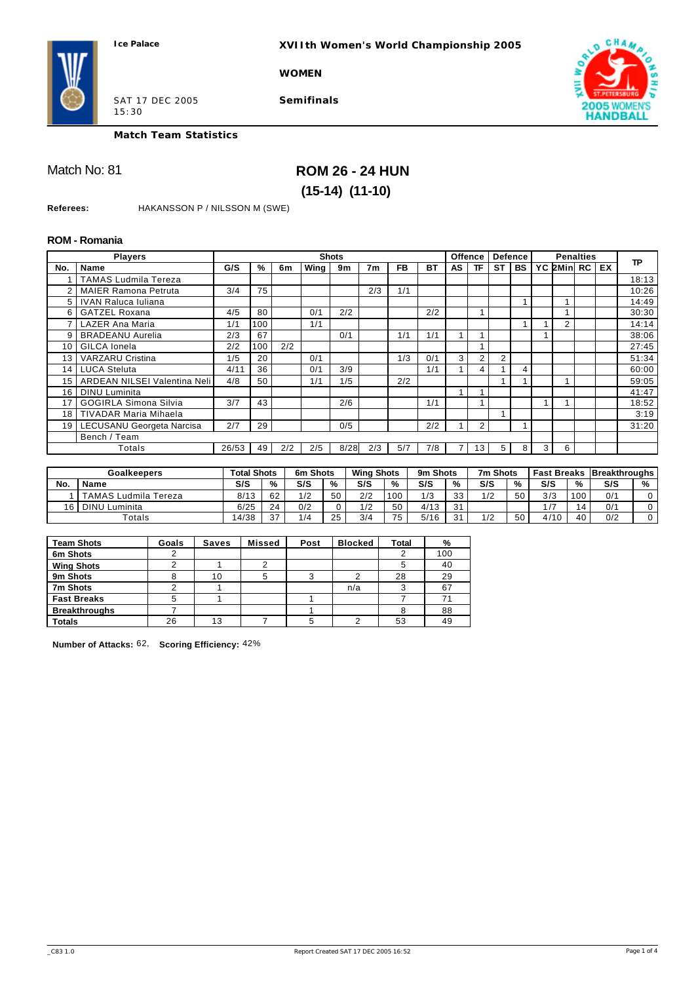**XVIIth Women's World Championship 2005**

**WOMEN**



SAT 17 DEC 2005 15:30

**Semifinals**



**Match Team Statistics**

## Match No: 81 **ROM 26 - 24 HUN (15-14) (11-10)**

**Referees:** HAKANSSON P / NILSSON M (SWE)

#### **ROM - Romania**

|                | <b>Players</b>                   |       |     |     |      | <b>Shots</b> |                |           |           |    | <b>Offence</b>  |           | <b>Defence</b> | <b>Penalties</b> |            |  |    |           |
|----------------|----------------------------------|-------|-----|-----|------|--------------|----------------|-----------|-----------|----|-----------------|-----------|----------------|------------------|------------|--|----|-----------|
| No.            | <b>Name</b>                      | G/S   | %   | 6m  | Wing | 9m           | 7 <sub>m</sub> | <b>FB</b> | <b>BT</b> | AS | ΤF              | <b>ST</b> | <b>BS</b>      |                  | YC 2Min RC |  | EX | <b>TP</b> |
|                | <b>TAMAS Ludmila Tereza</b>      |       |     |     |      |              |                |           |           |    |                 |           |                |                  |            |  |    | 18:13     |
| $\overline{2}$ | <b>MAIER Ramona Petruta</b>      | 3/4   | 75  |     |      |              | 2/3            | 1/1       |           |    |                 |           |                |                  |            |  |    | 10:26     |
| 5 <sup>1</sup> | IVAN Raluca Iuliana              |       |     |     |      |              |                |           |           |    |                 |           |                |                  |            |  |    | 14:49     |
| 6              | <b>GATZEL Roxana</b>             | 4/5   | 80  |     | 0/1  | 2/2          |                |           | 2/2       |    |                 |           |                |                  |            |  |    | 30:30     |
|                | <b>LAZER Ana Maria</b>           | 1/1   | 100 |     | 1/1  |              |                |           |           |    |                 |           |                |                  | 2          |  |    | 14:14     |
| 9              | <b>BRADEANU Aurelia</b>          | 2/3   | 67  |     |      | 0/1          |                | 1/1       | 1/1       |    |                 |           |                |                  |            |  |    | 38:06     |
| 10             | GILCA Ionela                     | 2/2   | 100 | 2/2 |      |              |                |           |           |    |                 |           |                |                  |            |  |    | 27:45     |
| 13             | <b>VARZARU Cristina</b>          | 1/5   | 20  |     | 0/1  |              |                | 1/3       | 0/1       | 3  | 2               | 2         |                |                  |            |  |    | 51:34     |
| 14             | <b>LUCA Steluta</b>              | 4/11  | 36  |     | 0/1  | 3/9          |                |           | 1/1       |    | 4               |           | 4              |                  |            |  |    | 60:00     |
| 15             | ARDEAN NILSEI Valentina Neli     | 4/8   | 50  |     | 1/1  | 1/5          |                | 2/2       |           |    |                 |           |                |                  |            |  |    | 59:05     |
| 16             | <b>DINU</b> Luminita             |       |     |     |      |              |                |           |           |    |                 |           |                |                  |            |  |    | 41:47     |
| 17             | <b>GOGIRLA Simona Silvia</b>     | 3/7   | 43  |     |      | 2/6          |                |           | 1/1       |    |                 |           |                |                  |            |  |    | 18:52     |
| 18             | <b>TIVADAR Maria Mihaela</b>     |       |     |     |      |              |                |           |           |    |                 |           |                |                  |            |  |    | 3:19      |
| 19 I           | <b>LECUSANU Georgeta Narcisa</b> | 2/7   | 29  |     |      | 0/5          |                |           | 2/2       |    | 2               |           |                |                  |            |  |    | 31:20     |
|                | Bench / Team                     |       |     |     |      |              |                |           |           |    |                 |           |                |                  |            |  |    |           |
|                | Totals                           | 26/53 | 49  | 2/2 | 2/5  | 8/28         | 2/3            | 5/7       | 7/8       |    | 13 <sub>1</sub> | 5.        | 8              | 3 <sup>1</sup>   | 6          |  |    |           |

|                | Goalkeepers          | <b>Total Shots</b> |    | 6m Shots |    | <b>Wing Shots</b> |     | 9m Shots |    | 7m Shots |    |                |     | <b>Fast Breaks Breakthroughs</b> |   |
|----------------|----------------------|--------------------|----|----------|----|-------------------|-----|----------|----|----------|----|----------------|-----|----------------------------------|---|
| No.            | <b>Name</b>          | S/S                | %  | S/S      | %  | S/S               | %   | S/S      | %  | S/S      | %  | S/S            | %   | S/S                              | % |
|                | TAMAS Ludmila Tereza | 8/13               | 62 | 1/2      | 50 | 2/2               | 100 | 1/3      | 33 | 1/2      | 50 | 3/3            | 100 | 0/1                              |   |
| 1 <sub>6</sub> | <b>DINU Luminita</b> | 6/25               | 24 | 0/2      |    | 1/2               | 50  | 4/13     | 31 |          |    | $\overline{ }$ |     | 0/1                              |   |
|                | $\tau$ otals         | 14/38              | 37 | 1/4      | 25 | 3/4               | 75  | 5/16     | 31 | 1/2      | 50 | 4/10           | 40  | 0/2                              |   |

| <b>Team Shots</b>    | Goals | Saves | <b>Missed</b> | Post | <b>Blocked</b> | <b>Total</b> | %   |
|----------------------|-------|-------|---------------|------|----------------|--------------|-----|
| 6m Shots             |       |       |               |      |                |              | 100 |
| <b>Wing Shots</b>    |       |       |               |      |                |              | 40  |
| 9m Shots             |       | 10    | 5             | ◠    |                | 28           | 29  |
| 7m Shots             |       |       |               |      | n/a            |              | 67  |
| <b>Fast Breaks</b>   | 5     |       |               |      |                |              | 71  |
| <b>Breakthroughs</b> |       |       |               |      |                |              | 88  |
| <b>Totals</b>        | 26    | 13    |               | 5    |                | 53           | 49  |

**Number of Attacks:** 62, **Scoring Efficiency:** 42%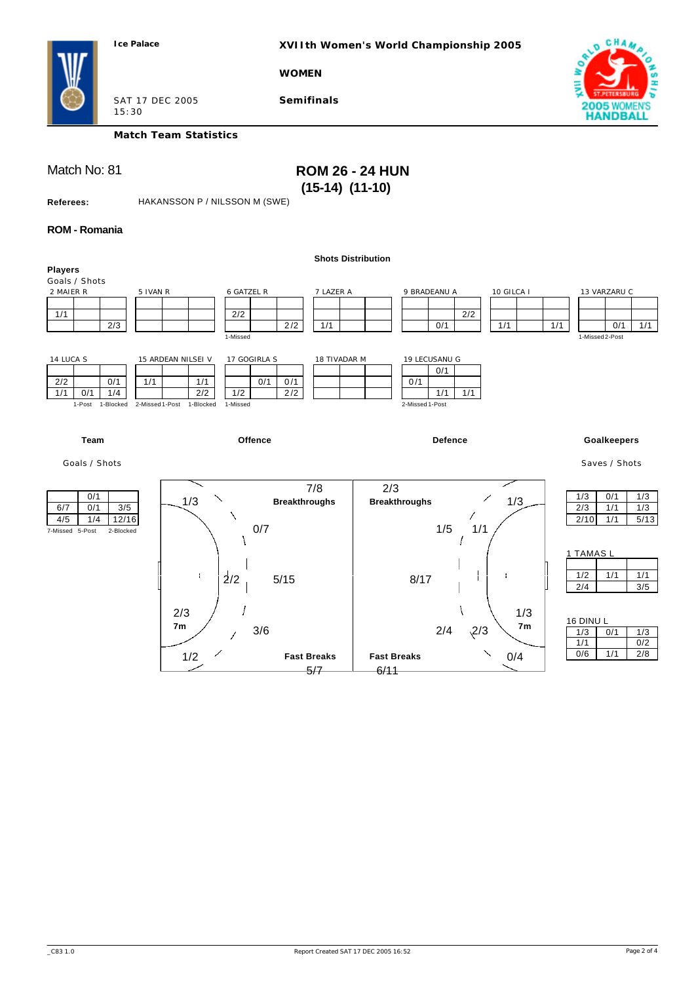**XVIIth Women's World Championship 2005**

**WOMEN**



SAT 17 DEC 2005 15:30

**Match Team Statistics**

**Semifinals**

## Match No: 81 **ROM 26 - 24 HUN (15-14) (11-10)**

**Referees:** HAKANSSON P / NILSSON M (SWE)

#### **ROM - Romania**

|                              |                                          | <b>Shots Distribution</b>                |                     |                |                     |
|------------------------------|------------------------------------------|------------------------------------------|---------------------|----------------|---------------------|
| <b>Players</b>               |                                          |                                          |                     |                |                     |
| Goals / Shots                |                                          |                                          |                     |                |                     |
| 2 MAIER R                    | 5 IVAN R<br>6 GATZEL R                   | 7 LAZER A                                | 9 BRADEANU A        | 10 GILCA I     | 13 VARZARU C        |
|                              |                                          |                                          |                     |                |                     |
| 1/1                          | 2/2                                      |                                          | 2/2                 |                |                     |
| 2/3                          | 2/2                                      | 1/1                                      | 0/1                 | 1/1<br>1/1     | 0/1<br>1/1          |
|                              | 1-Missed                                 |                                          |                     |                | 1-Missed 2-Post     |
|                              |                                          |                                          |                     |                |                     |
| 14 LUCA S                    | 15 ARDEAN NILSEI V<br>17 GOGIRLA S       | 18 TIVADAR M                             | 19 LECUSANU G       |                |                     |
|                              |                                          |                                          | 0/1                 |                |                     |
| 2/2<br>0/1                   | 1/1<br>0/1<br>1/1<br>0/1                 |                                          | 0/1                 |                |                     |
| 1/1<br>0/1<br>1/4            | 1/2<br>2/2<br>2/2                        |                                          | 1/1<br>1/1          |                |                     |
| 1-Post<br>1-Blocked          | 2-Missed 1-Post<br>1-Missed<br>1-Blocked |                                          | 2-Missed 1-Post     |                |                     |
|                              |                                          |                                          |                     |                |                     |
|                              |                                          |                                          |                     |                |                     |
|                              |                                          |                                          |                     |                |                     |
| Team                         | Offence                                  |                                          | <b>Defence</b>      |                | <b>Goalkeepers</b>  |
|                              |                                          |                                          |                     |                |                     |
| Goals / Shots                |                                          |                                          |                     |                | Saves / Shots       |
|                              |                                          |                                          |                     |                |                     |
|                              |                                          | 7/8<br>2/3                               |                     |                |                     |
| 0/1                          | 1/3<br><b>Breakthroughs</b>              | <b>Breakthroughs</b>                     |                     | 1/3            | 0/1<br>1/3<br>1/3   |
| 0/1<br>$3/5$<br>6/7          |                                          |                                          |                     |                | 2/3<br>1/1<br>1/3   |
| 1/4<br>12/16<br>4/5          | 0/7                                      |                                          | 1/5<br>1/1          |                | 2/10<br>1/1<br>5/13 |
| 7-Missed 5-Post<br>2-Blocked |                                          |                                          |                     |                |                     |
|                              |                                          |                                          |                     |                |                     |
|                              |                                          |                                          |                     |                | 1 TAMAS L           |
|                              |                                          |                                          |                     |                |                     |
|                              | ÷<br>2/2<br>5/15                         |                                          | 8/17                |                | 1/2<br>1/1<br>1/1   |
|                              |                                          |                                          |                     |                | 2/4<br>3/5          |
|                              |                                          |                                          |                     |                |                     |
|                              | 2/3                                      |                                          |                     | 1/3            |                     |
|                              | 7 <sub>m</sub>                           |                                          |                     | 7 <sub>m</sub> | 16 DINU L           |
|                              | 3/6                                      |                                          | $\sqrt{2}/3$<br>2/4 |                | 1/3<br>0/1<br>1/3   |
|                              |                                          |                                          |                     |                | 1/1<br>0/2          |
|                              | 1/2                                      | <b>Fast Breaks</b><br><b>Fast Breaks</b> |                     | 0/4            | 0/6<br>1/1<br>2/8   |
|                              |                                          |                                          |                     |                |                     |
|                              |                                          | 5/7<br>6/11                              |                     |                |                     |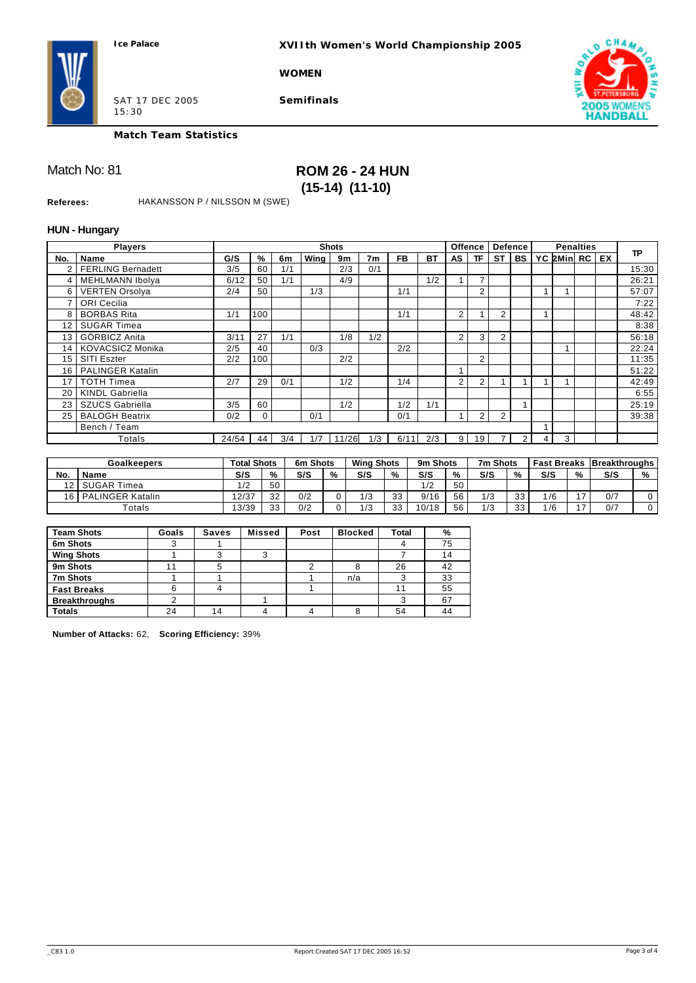**XVIIth Women's World Championship 2005**

**WOMEN**



SAT 17 DEC 2005 15:30

**Semifinals**



**Match Team Statistics**

## Match No: 81 **ROM 26 - 24 HUN (15-14) (11-10)**

**Referees:** HAKANSSON P / NILSSON M (SWE)

#### **HUN - Hungary Players No. Name Shots G/S % 6m Wing 9m 7m FB BT Offence Defence**  $AS$  **TF**  $ST$  **BS Penalties YC 2Min RC EX TP** 2 FERLING Bernadett 3/5 60 1/1 2/3 0/1 4 MEHLMANN Ibolya 6/12 50 1/1 4/9 1/2 1 7 1 26:21 6 VERTEN Orsolya 2/4 50 1/3 1/1 2 1 1 1 57:07 7 ORI Cecilia 2020 2021 12:22 8 BORBAS Rita 1/1 100 1 1/1 2 1 2 1 1 48:42 12 SUGAR Timea **8:38** 13 GÖRBICZ Anita 3/11 27 1/1 1/8 1/2 2 3 2 56:18 14 KOVACSICZ Monika 2/5 40 0/3 2/2 22 1 1 1 1 22:24 15 SITI Eszter 2/2 100 2/2 2 11:35 16 PALINGER Katalin 51:22 17 TOTH Timea 2/7 29 0/1 1/2 1/4 2 2 1 1 1 1 1 1 42:49 20 KINDL Gabriella 6:55 23 SZUCS Gabriella 3/5 60 1 1/2 1/2 1/1 1 1 1 1 25:19 25 BALOGH Beatrix 0/2 0 0/1 0/1 1 2 2 Bench / Team 1999 and 1999 and 1999 and 1999 and 1999 and 1999 and 1999 and 1999 and 1999 and 1999 and 1999 and 1999 and 1999 and 1999 and 1999 and 1999 and 1999 and 1999 and 1999 and 1999 and 1999 and 1999 and 1999 and 19 Totals 24/54 44 3/4 1/7 11/26 1/3 6/11 2/3 9 19 7 2 4 3

|     | Goalkeepers             | <b>Total Shots</b> |          | 6m Shots |   | <b>Wing Shots</b> |          | 9m Shots |    | 7m Shots |           |     |   | <b>Fast Breaks   Breakthroughs</b> |   |
|-----|-------------------------|--------------------|----------|----------|---|-------------------|----------|----------|----|----------|-----------|-----|---|------------------------------------|---|
| No. | Name                    | S/S                | %        | S/S      | % | S/S               | %        | S/S      | %  | S/S      | %         | S/S | % | S/S                                | % |
| 12  | <b>SUGAR Timea</b>      | 1/2                | 50       |          |   |                   |          | 1/2      | 50 |          |           |     |   |                                    |   |
| 16  | <b>PALINGER Katalin</b> | 2/37               | 32       | 0/2      |   | 1/3               | າ<br>ں ں | 9/16     | 56 | 1/2      | 22<br>ں ں | /6  |   | 0/7                                |   |
|     | $\tau$ otals            | 13/39              | າາ<br>ບປ | 0/2      |   | 1/3               | 33       | 10/18    | 56 | 1/2      | 33        | /6  |   | 0/7                                |   |

| <b>Team Shots</b>    | Goals | <b>Saves</b> | <b>Missed</b> | Post | <b>Blocked</b> | <b>Total</b> | %  |
|----------------------|-------|--------------|---------------|------|----------------|--------------|----|
| 6m Shots             |       |              |               |      |                |              | 75 |
| <b>Wing Shots</b>    |       |              |               |      |                |              | 14 |
| 9m Shots             |       | 5            |               |      |                | 26           | 42 |
| 7m Shots             |       |              |               |      | n/a            |              | 33 |
| <b>Fast Breaks</b>   |       |              |               |      |                | 11           | 55 |
| <b>Breakthroughs</b> |       |              |               |      |                |              | 67 |
| <b>Totals</b>        | 24    | 14           |               |      |                | 54           | 44 |

**Number of Attacks:** 62, **Scoring Efficiency:** 39%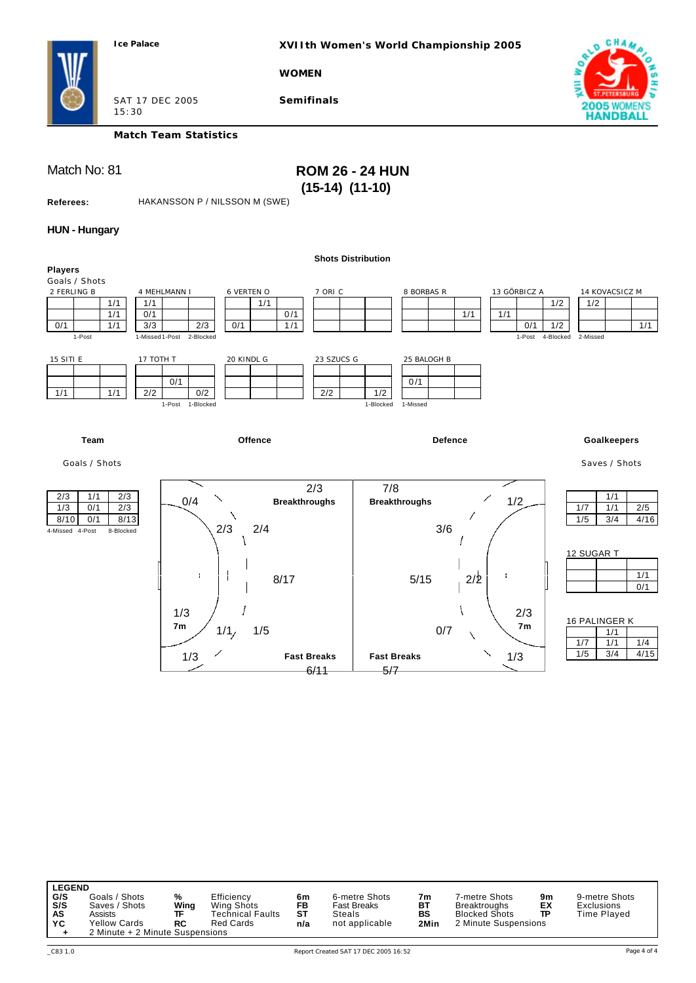15:30

**XVIIth Women's World Championship 2005**

**WOMEN**



**Semifinals**



**Match Team Statistics**

## Match No: 81 **ROM 26 - 24 HUN (15-14) (11-10)**

**Referees:** HAKANSSON P / NILSSON M (SWE)

### **HUN - Hungary**

|                                |                               | <b>Shots Distribution</b> |                       |                     |                     |
|--------------------------------|-------------------------------|---------------------------|-----------------------|---------------------|---------------------|
| <b>Players</b>                 |                               |                           |                       |                     |                     |
| Goals / Shots                  |                               |                           |                       |                     |                     |
| 2 FERLING B                    | 6 VERTEN O<br>4 MEHLMANN I    | 7 ORI C                   | 8 BORBAS R            | 13 GÖRBICZ A        | 14 KOVACSICZ M      |
| 1/1                            | 1/1<br>1/1                    |                           |                       | 1/2                 | 1/2                 |
| 1/1                            | 0/1                           | 0/1                       | 1/1                   | 1/1                 |                     |
| 0/1<br>1/1                     | 3/3<br>2/3<br>0/1             | 1/1                       |                       | 0/1<br>1/2          | 1/1                 |
| 1-Post                         | 1-Missed 1-Post 2-Blocked     |                           |                       | 1-Post<br>4-Blocked | 2-Missed            |
|                                |                               |                           |                       |                     |                     |
| <b>15 SITI E</b>               | 20 KINDL G<br>17 TOTH T       | 23 SZUCS G                | 25 BALOGH B           |                     |                     |
|                                |                               |                           |                       |                     |                     |
|                                | 0/1                           |                           | 0/1                   |                     |                     |
| 1/1<br>1/1                     | 2/2<br>0/2                    | 2/2                       | 1/2                   |                     |                     |
|                                | 1-Post 1-Blocked              |                           | 1-Missed<br>1-Blocked |                     |                     |
|                                |                               |                           |                       |                     |                     |
|                                |                               |                           |                       |                     |                     |
|                                |                               |                           |                       |                     |                     |
| <b>Team</b>                    | Offence                       |                           | <b>Defence</b>        |                     | <b>Goalkeepers</b>  |
|                                |                               |                           |                       |                     |                     |
| Goals / Shots                  |                               |                           |                       |                     | Saves / Shots       |
|                                |                               |                           |                       |                     |                     |
|                                |                               | 2/3                       | 7/8                   |                     |                     |
| $\frac{2}{3}$<br>1/1<br>2/3    | 0/4                           | <b>Breakthroughs</b>      | <b>Breakthroughs</b>  | 1/2                 | 1/1                 |
| $\overline{2/3}$<br>1/3<br>0/1 |                               |                           |                       |                     | 1/7<br>1/1<br>$2/5$ |
| 0/1<br>8/13<br>8/10            |                               |                           |                       |                     | 1/5<br>3/4<br>4/16  |
| 4-Missed 4-Post<br>8-Blocked   | 2/3<br>2/4                    |                           | 3/6                   |                     |                     |
|                                |                               |                           |                       |                     |                     |
|                                |                               |                           |                       |                     | 12 SUGAR T          |
|                                |                               |                           |                       |                     |                     |
|                                | ÷                             | 8/17                      | $5/15$                | 2/2                 | 1/1                 |
|                                |                               |                           |                       |                     | 0/1                 |
|                                |                               |                           |                       |                     |                     |
|                                | 1/3                           |                           |                       | 2/3                 |                     |
|                                |                               |                           |                       |                     | 16 PALINGER K       |
|                                | 7 <sub>m</sub><br>1/1/<br>1/5 |                           | 0/7                   | 7 <sub>m</sub>      | 1/1                 |
|                                |                               |                           |                       |                     | 1/7<br>1/1<br>1/4   |
|                                |                               |                           |                       |                     | 1/5<br>3/4<br>4/15  |
|                                | 1/3                           | <b>Fast Breaks</b>        | <b>Fast Breaks</b>    | 1/3                 |                     |
|                                |                               | 6/11                      | 5/7                   |                     |                     |

| <b>LEGEND</b>                                                                                                                  |                       |                                                                  |                              |                                                                 |                        |                                                                               |                |                                                   |
|--------------------------------------------------------------------------------------------------------------------------------|-----------------------|------------------------------------------------------------------|------------------------------|-----------------------------------------------------------------|------------------------|-------------------------------------------------------------------------------|----------------|---------------------------------------------------|
| G/S<br>Goals / Shots<br>S/S<br>Saves / Shots<br>AS<br>Assists<br><b>Yellow Cards</b><br>YC.<br>2 Minute + 2 Minute Suspensions | %<br>Wing<br>ΤF<br>RC | Efficiency<br>Wing Shots<br>Technical Faults<br><b>Red Cards</b> | 6m<br><b>FB</b><br>ST<br>n/a | 6-metre Shots<br><b>Fast Breaks</b><br>Steals<br>not applicable | 7m<br>BT<br>BS<br>2Min | 7-metre Shots<br>Breaktroughs<br><b>Blocked Shots</b><br>2 Minute Suspensions | 9m<br>ЕX<br>TP | 9-metre Shots<br><b>Exclusions</b><br>Time Played |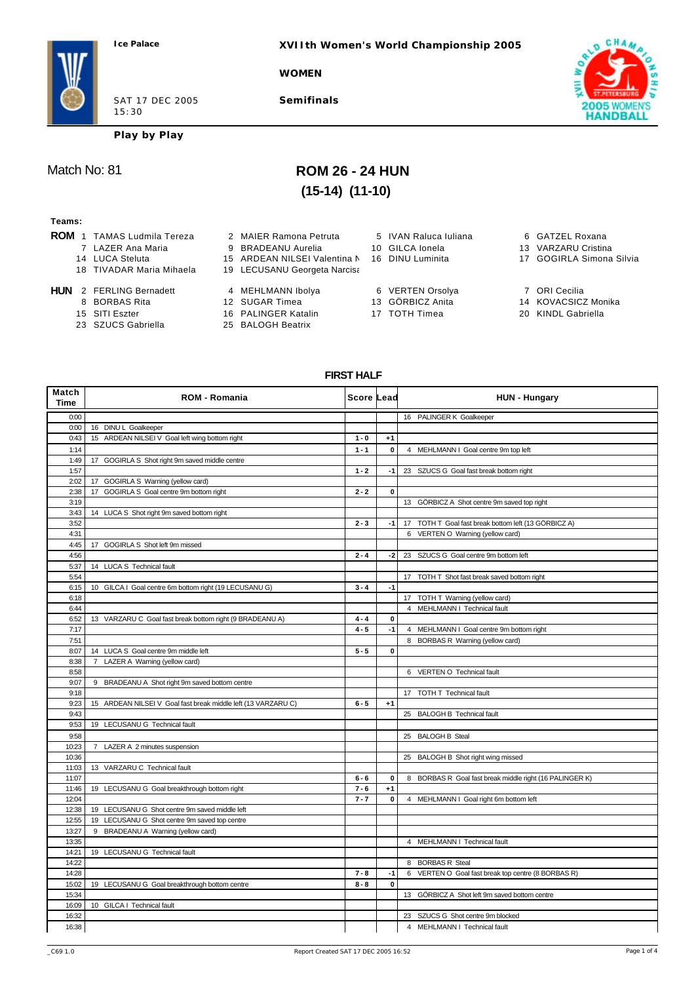**XVIIth Women's World Championship 2005**

**WOMEN**

SAT 17 DEC 2005 15:30

**Semifinals**



**Play by Play**

## Match No: 81 **ROM 26 - 24 HUN (15-14) (11-10)**

#### **Teams:**

- **ROM** 1 TAMAS Ludmila Tereza 2 MAIER Ramona Petruta 5 IVAN Raluca Iuliana 6 GATZEL Roxana<br>7 LAZER Ana Maria 9 BRADEANU Aurelia 10 GILCA Ionela 13 VARZARU Cristina
	-
	-
	-
	-
- **HUN** 2 FERLING Bernadett 4 MEHLMANN Ibolya 6 VERTEN Orsolya 7 ORI Cecilia
	-
	-
	- 23 SZUCS Gabriella
- 
- 7 LAZER Ana Maria 19 BRADEANU Aurelia 10 GILCA Ionela
- 14 LUCA Steluta 15 ARDEAN NILSEI Valentina N 16 DINU Luminita 17 GOGIRLA Simona Silvia
- 18 TIVADAR Maria Mihaela 19 LECUSANU Georgeta Narcisa
	-
	-
	-
- 15 SITI Eszter 16 PALINGER Katalin 17 TOTH Timea 16 20 KINDL Gabriella<br>23 SZUCS Gabriella 25 BALOGH Beatrix
- 
- 
- 
- 
- 
- -
- 
- 
- 
- 
- 14 KOVACSICZ Monika
- 
- 

#### **FIRST HALF**

| Match<br>Time | <b>ROM - Romania</b>                                          | Score Lead |              | <b>HUN - Hungary</b>                                    |
|---------------|---------------------------------------------------------------|------------|--------------|---------------------------------------------------------|
| 0:00          |                                                               |            |              | 16 PALINGER K Goalkeeper                                |
| 0:00          | 16 DINU L Goalkeeper                                          |            |              |                                                         |
| 0:43          | 15 ARDEAN NILSEI V Goal left wing bottom right                | $1 - 0$    | $+1$         |                                                         |
| 1:14          |                                                               | $1 - 1$    | $\mathbf{0}$ | 4 MEHLMANN I Goal centre 9m top left                    |
| 1:49          | 17 GOGIRLA S Shot right 9m saved middle centre                |            |              |                                                         |
| 1:57          |                                                               | $1 - 2$    | $-1$         | 23 SZUCS G Goal fast break bottom right                 |
| 2:02          | 17 GOGIRLA S Warning (yellow card)                            |            |              |                                                         |
| 2:38          | 17 GOGIRLA S Goal centre 9m bottom right                      | $2 - 2$    | $\pmb{0}$    |                                                         |
| 3:19          |                                                               |            |              | 13 GÖRBICZ A Shot centre 9m saved top right             |
| 3:43          | 14 LUCA S Shot right 9m saved bottom right                    |            |              |                                                         |
| 3:52          |                                                               | $2 - 3$    | $-1$         | 17 TOTH T Goal fast break bottom left (13 GÖRBICZ A)    |
| 4:31          |                                                               |            |              | 6 VERTEN O Warning (yellow card)                        |
| 4:45          | 17 GOGIRLA S Shot left 9m missed                              |            |              |                                                         |
| 4:56          |                                                               | $2 - 4$    | $-2$         | 23 SZUCS G Goal centre 9m bottom left                   |
| 5:37          | 14 LUCA S Technical fault                                     |            |              |                                                         |
| 5:54          |                                                               |            |              | 17 TOTH T Shot fast break saved bottom right            |
| 6:15          | 10 GILCA I Goal centre 6m bottom right (19 LECUSANU G)        | $3 - 4$    | $-1$         |                                                         |
| 6:18          |                                                               |            |              | 17 TOTH T Warning (yellow card)                         |
| 6:44          |                                                               |            |              | 4 MEHLMANN I Technical fault                            |
| 6:52          | 13 VARZARU C Goal fast break bottom right (9 BRADEANU A)      | $4 - 4$    | $\mathbf 0$  |                                                         |
| 7:17          |                                                               | $4 - 5$    | $-1$         | 4 MEHLMANN I Goal centre 9m bottom right                |
| 7:51          |                                                               |            |              | 8 BORBAS R Warning (yellow card)                        |
| 8:07          | 14 LUCA S Goal centre 9m middle left                          | $5 - 5$    | $\mathbf{0}$ |                                                         |
| 8:38          | 7 LAZER A Warning (yellow card)                               |            |              |                                                         |
| 8:58          |                                                               |            |              | 6 VERTEN O Technical fault                              |
| 9:07          | 9 BRADEANU A Shot right 9m saved bottom centre                |            |              |                                                         |
| 9:18          |                                                               |            |              | 17 TOTH T Technical fault                               |
| 9:23          | 15 ARDEAN NILSEI V Goal fast break middle left (13 VARZARU C) | $6 - 5$    | $+1$         |                                                         |
| 9:43          |                                                               |            |              | 25 BALOGH B Technical fault                             |
| 9:53          | 19 LECUSANU G Technical fault                                 |            |              |                                                         |
| 9:58          |                                                               |            |              | 25 BALOGH B Steal                                       |
| 10:23         | 7 LAZER A 2 minutes suspension                                |            |              |                                                         |
| 10:36         |                                                               |            |              | 25 BALOGH B Shot right wing missed                      |
| 11:03         | 13 VARZARU C Technical fault                                  |            |              |                                                         |
| 11:07         |                                                               | $6 - 6$    | 0            | 8 BORBAS R Goal fast break middle right (16 PALINGER K) |
| 11:46         | 19 LECUSANU G Goal breakthrough bottom right                  | $7 - 6$    | $+1$         |                                                         |
| 12:04         |                                                               | $7 - 7$    | $\mathbf 0$  | 4 MEHLMANN I Goal right 6m bottom left                  |
| 12:38         | 19 LECUSANU G Shot centre 9m saved middle left                |            |              |                                                         |
| 12:55         | 19 LECUSANU G Shot centre 9m saved top centre                 |            |              |                                                         |
| 13:27         | 9 BRADEANU A Warning (yellow card)                            |            |              |                                                         |
| 13:35         |                                                               |            |              | 4 MEHLMANN I Technical fault                            |
| 14:21         | 19 LECUSANU G Technical fault                                 |            |              |                                                         |
| 14:22         |                                                               |            |              | 8 BORBAS R Steal                                        |
| 14:28         |                                                               | $7 - 8$    | -1           | 6 VERTEN O Goal fast break top centre (8 BORBAS R)      |
| 15:02         | 19 LECUSANU G Goal breakthrough bottom centre                 | $8 - 8$    | $\mathbf{0}$ |                                                         |
| 15:34         |                                                               |            |              | 13 GÖRBICZ A Shot left 9m saved bottom centre           |
| 16:09         | 10 GILCA I Technical fault                                    |            |              |                                                         |
| 16:32         |                                                               |            |              | 23 SZUCS G Shot centre 9m blocked                       |
| 16:38         |                                                               |            |              | 4 MEHLMANN I Technical fault                            |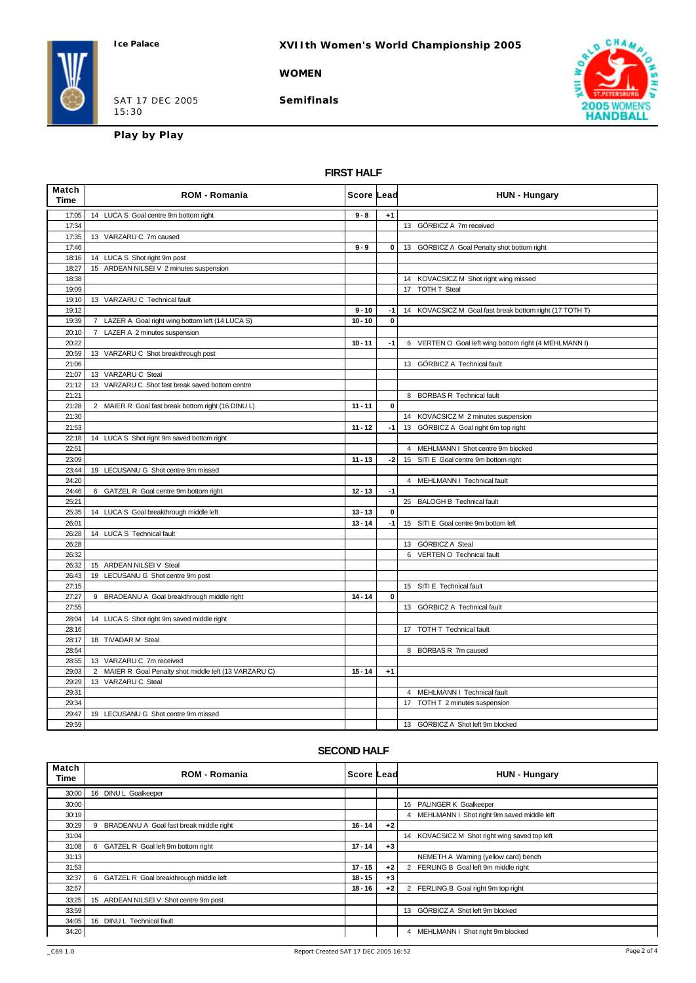### **XVIIth Women's World Championship 2005**

#### **WOMEN**

SAT 17 DEC 2005 15:30

**Semifinals**



**Play by Play**

### **FIRST HALF**

| Match<br><b>Time</b> | <b>ROM - Romania</b>                                   | Score Lead |              | <b>HUN - Hungary</b>                                    |
|----------------------|--------------------------------------------------------|------------|--------------|---------------------------------------------------------|
| 17:05                | 14 LUCA S Goal centre 9m bottom right                  | $9 - 8$    | $+1$         |                                                         |
| 17:34                |                                                        |            |              | 13 GÖRBICZ A 7m received                                |
| 17:35                | 13 VARZARU C 7m caused                                 |            |              |                                                         |
| 17:46                |                                                        | $9 - 9$    | $\mathbf{0}$ | 13 GÖRBICZ A Goal Penalty shot bottom right             |
| 18:16                | 14 LUCA S Shot right 9m post                           |            |              |                                                         |
| 18:27                | 15 ARDEAN NILSEI V 2 minutes suspension                |            |              |                                                         |
| 18:38                |                                                        |            |              | 14 KOVACSICZ M Shot right wing missed                   |
| 19:09                |                                                        |            |              | 17 TOTH T Steal                                         |
| 19:10                | 13 VARZARU C Technical fault                           |            |              |                                                         |
| 19:12                |                                                        | $9 - 10$   | $-1$         | 14 KOVACSICZ M Goal fast break bottom right (17 TOTH T) |
| 19:39                | 7 LAZER A Goal right wing bottom left (14 LUCA S)      | $10 - 10$  | $\mathbf{0}$ |                                                         |
| 20:10                | 7 LAZER A 2 minutes suspension                         |            |              |                                                         |
| 20:22                |                                                        | $10 - 11$  | -1           | 6 VERTEN O Goal left wing bottom right (4 MEHLMANN I)   |
| 20:59                | 13 VARZARU C Shot breakthrough post                    |            |              |                                                         |
| 21:06                |                                                        |            |              | 13 GÖRBICZ A Technical fault                            |
| 21:07                | 13 VARZARU C Steal                                     |            |              |                                                         |
| 21:12                | 13 VARZARU C Shot fast break saved bottom centre       |            |              |                                                         |
| 21:21                |                                                        |            |              | 8 BORBAS R Technical fault                              |
| 21:28                | 2 MAIER R Goal fast break bottom right (16 DINU L)     | $11 - 11$  | $\pmb{0}$    |                                                         |
| 21:30                |                                                        |            |              | 14 KOVACSICZ M 2 minutes suspension                     |
| 21:53                |                                                        | $11 - 12$  | -1           | 13 GÖRBICZ A Goal right 6m top right                    |
| 22:18                | 14 LUCA S Shot right 9m saved bottom right             |            |              |                                                         |
| 22:51                |                                                        |            |              | 4 MEHLMANN I Shot centre 9m blocked                     |
| 23:09                |                                                        | $11 - 13$  | -21          | 15 SITI E Goal centre 9m bottom right                   |
| 23:44                | 19 LECUSANU G Shot centre 9m missed                    |            |              |                                                         |
| 24:20                |                                                        |            |              | 4 MEHLMANN I Technical fault                            |
| 24:46                | 6 GATZEL R Goal centre 9m bottom right                 | $12 - 13$  | $-1$         |                                                         |
| 25:21                |                                                        |            |              | 25 BALOGH B Technical fault                             |
| 25:35                | 14 LUCA S Goal breakthrough middle left                | $13 - 13$  | 0            |                                                         |
| 26:01                |                                                        | $13 - 14$  | $-1$         | 15 SITI E Goal centre 9m bottom left                    |
| 26:28                | 14 LUCA S Technical fault                              |            |              |                                                         |
| 26:28                |                                                        |            |              | 13 GÖRBICZ A Steal                                      |
| 26:32                |                                                        |            |              | 6 VERTEN O Technical fault                              |
| 26:32                | 15 ARDEAN NILSEI V Steal                               |            |              |                                                         |
| 26:43                | 19 LECUSANU G Shot centre 9m post                      |            |              |                                                         |
| 27:15                |                                                        |            |              | 15 SITI E Technical fault                               |
| 27:27                | BRADEANU A Goal breakthrough middle right<br>9         | $14 - 14$  | $\pmb{0}$    |                                                         |
| 27:55                |                                                        |            |              | 13 GÖRBICZ A Technical fault                            |
| 28:04                | 14 LUCA S Shot right 9m saved middle right             |            |              |                                                         |
| 28:16                |                                                        |            |              | 17 TOTH T Technical fault                               |
| 28:17                | 18 TIVADAR M Steal                                     |            |              |                                                         |
| 28:54                |                                                        |            |              | 8 BORBAS R 7m caused                                    |
| 28:55                | 13 VARZARU C 7m received                               |            |              |                                                         |
| 29:03                | 2 MAIER R Goal Penalty shot middle left (13 VARZARU C) | $15 - 14$  | $+1$         |                                                         |
| 29:29                | 13 VARZARU C Steal                                     |            |              |                                                         |
| 29:31                |                                                        |            |              | 4 MEHLMANN I Technical fault                            |
| 29:34                |                                                        |            |              | 17 TOTH T 2 minutes suspension                          |
| 29:47                | 19 LECUSANU G Shot centre 9m missed                    |            |              |                                                         |
| 29:59                |                                                        |            |              | 13 GÖRBICZ A Shot left 9m blocked                       |

#### **SECOND HALF**

| Match<br>Time | <b>ROM - Romania</b>                         | ∣Score Lead |      | <b>HUN - Hungary</b>                             |
|---------------|----------------------------------------------|-------------|------|--------------------------------------------------|
| 30:00         | 16 DINU L Goalkeeper                         |             |      |                                                  |
| 30:00         |                                              |             |      | 16 PALINGER K Goalkeeper                         |
| 30:19         |                                              |             |      | MEHLMANN I Shot right 9m saved middle left<br>4  |
| 30:29         | BRADEANU A Goal fast break middle right<br>9 | $16 - 14$   | $+2$ |                                                  |
| 31:04         |                                              |             |      | KOVACSICZ M Shot right wing saved top left<br>14 |
| 31:08         | 6 GATZEL R Goal left 9m bottom right         | $17 - 14$   | $+3$ |                                                  |
| 31:13         |                                              |             |      | NEMETH A Warning (yellow card) bench             |
| 31:53         |                                              | $17 - 15$   | $+2$ | 2 FERLING B Goal left 9m middle right            |
| 32:37         | 6 GATZEL R Goal breakthrough middle left     | $18 - 15$   | $+3$ |                                                  |
| 32:57         |                                              | 18 - 16     | $+2$ | 2 FERLING B Goal right 9m top right              |
| 33:25         | 15 ARDEAN NILSEI V Shot centre 9m post       |             |      |                                                  |
| 33:59         |                                              |             |      | GÖRBICZ A Shot left 9m blocked<br>13             |
| 34:05         | 16 DINU L Technical fault                    |             |      |                                                  |
| 34:20         |                                              |             |      | MEHLMANN I Shot right 9m blocked<br>4            |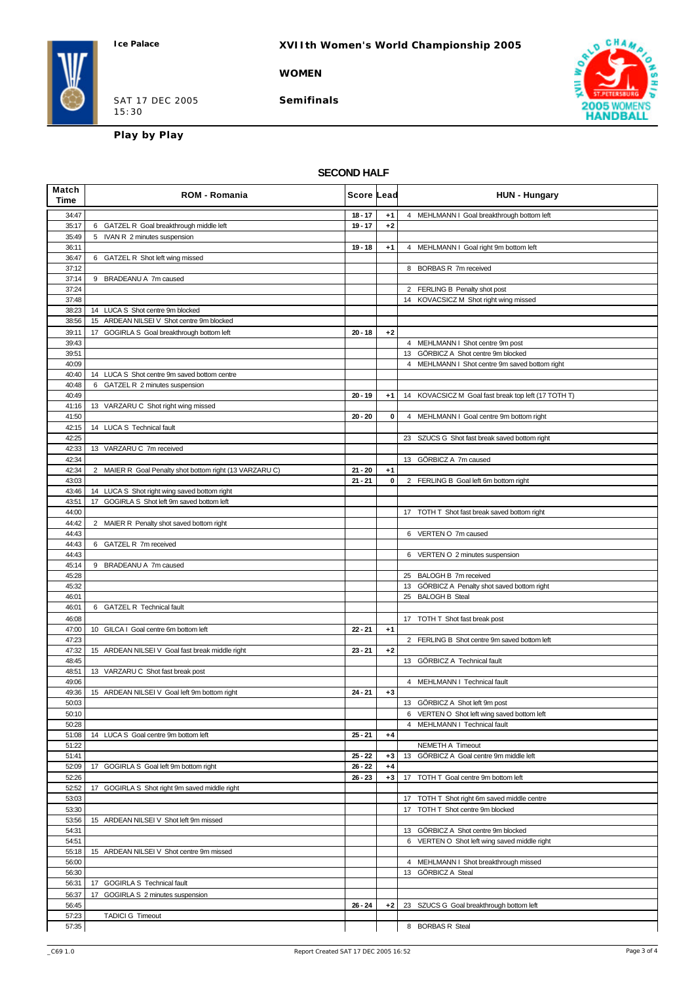### **XVIIth Women's World Championship 2005**

#### **WOMEN**

SAT 17 DEC 2005 15:30

**Semifinals**



**Play by Play**

#### **SECOND HALF**

| Match<br>Time  | <b>ROM - Romania</b>                                    | Score Lead             |              | <b>HUN - Hungary</b>                                |
|----------------|---------------------------------------------------------|------------------------|--------------|-----------------------------------------------------|
| 34:47          |                                                         | $18 - 17$              | $+1$         | 4 MEHLMANN I Goal breakthrough bottom left          |
| 35:17          | 6 GATZEL R Goal breakthrough middle left                | $19 - 17$              | $+2$         |                                                     |
| 35:49          | 5 IVAN R 2 minutes suspension                           |                        |              |                                                     |
| 36:11<br>36:47 | 6 GATZEL R Shot left wing missed                        | $19 - 18$              | $+1$         | 4 MEHLMANN I Goal right 9m bottom left              |
| 37:12          |                                                         |                        |              | 8 BORBAS R 7m received                              |
| 37:14          | 9 BRADEANU A 7m caused                                  |                        |              |                                                     |
| 37:24          |                                                         |                        |              | 2 FERLING B Penalty shot post                       |
| 37:48          |                                                         |                        |              | 14 KOVACSICZ M Shot right wing missed               |
| 38:23          | 14 LUCA S Shot centre 9m blocked                        |                        |              |                                                     |
| 38:56          | 15 ARDEAN NILSEI V Shot centre 9m blocked               | $20 - 18$              |              |                                                     |
| 39:11<br>39:43 | 17 GOGIRLA S Goal breakthrough bottom left              |                        | $+2$         | 4 MEHLMANN I Shot centre 9m post                    |
| 39:51          |                                                         |                        |              | 13 GÖRBICZ A Shot centre 9m blocked                 |
| 40:09          |                                                         |                        |              | 4 MEHLMANN I Shot centre 9m saved bottom right      |
| 40:40          | 14 LUCA S Shot centre 9m saved bottom centre            |                        |              |                                                     |
| 40:48          | 6 GATZEL R 2 minutes suspension                         |                        |              |                                                     |
| 40:49          |                                                         | $20 - 19$              | $+1$         | 14 KOVACSICZ M Goal fast break top left (17 TOTH T) |
| 41:16          | 13 VARZARU C Shot right wing missed                     | $20 - 20$              | 0            |                                                     |
| 41:50<br>42:15 | 14 LUCA S Technical fault                               |                        |              | 4 MEHLMANN I Goal centre 9m bottom right            |
| 42:25          |                                                         |                        |              | 23 SZUCS G Shot fast break saved bottom right       |
| 42:33          | 13 VARZARU C 7m received                                |                        |              |                                                     |
| 42:34          |                                                         |                        |              | 13 GÖRBICZ A 7m caused                              |
| 42:34          | 2 MAIER R Goal Penalty shot bottom right (13 VARZARU C) | $21 - 20$              | $+1$         |                                                     |
| 43:03          |                                                         | $21 - 21$              | 0            | 2 FERLING B Goal left 6m bottom right               |
| 43:46          | 14 LUCA S Shot right wing saved bottom right            |                        |              |                                                     |
| 43:51<br>44:00 | 17 GOGIRLA S Shot left 9m saved bottom left             |                        |              |                                                     |
| 44:42          | 2 MAIER R Penalty shot saved bottom right               |                        |              | 17 TOTH T Shot fast break saved bottom right        |
| 44:43          |                                                         |                        |              | 6 VERTEN O 7m caused                                |
| 44:43          | 6 GATZEL R 7m received                                  |                        |              |                                                     |
| 44:43          |                                                         |                        |              | 6 VERTEN O 2 minutes suspension                     |
| 45:14          | BRADEANU A 7m caused<br>9                               |                        |              |                                                     |
| 45:28          |                                                         |                        |              | 25 BALOGH B 7m received                             |
| 45:32          |                                                         |                        |              | 13 GÖRBICZ A Penalty shot saved bottom right        |
| 46:01<br>46:01 | 6 GATZEL R Technical fault                              |                        |              | 25 BALOGH B Steal                                   |
| 46:08          |                                                         |                        |              | 17 TOTH T Shot fast break post                      |
| 47:00          | 10 GILCA I Goal centre 6m bottom left                   | $22 - 21$              | $+1$         |                                                     |
| 47:23          |                                                         |                        |              | 2 FERLING B Shot centre 9m saved bottom left        |
| 47:32          | 15 ARDEAN NILSEI V Goal fast break middle right         | $23 - 21$              | $+2$         |                                                     |
| 48:45          |                                                         |                        |              | 13 GÖRBICZ A Technical fault                        |
| 48:51<br>49:06 | 13 VARZARU C Shot fast break post                       |                        |              | 4 MEHLMANN   Technical fault                        |
| 49:36          | 15 ARDEAN NILSEI V Goal left 9m bottom right            | $24 - 21$              | $+3$         |                                                     |
| 50:03          |                                                         |                        |              | 13 GÖRBICZ A Shot left 9m post                      |
| 50:10          |                                                         |                        |              | 6 VERTEN O Shot left wing saved bottom left         |
| 50:28          |                                                         |                        |              | 4 MEHLMANN I Technical fault                        |
| 51:08          | 14 LUCA S Goal centre 9m bottom left                    | $25 - 21$              | $+4$         |                                                     |
| 51:22          |                                                         |                        |              | NEMETH A Timeout                                    |
| 51:41<br>52:09 | 17 GOGIRLA S Goal left 9m bottom right                  | $25 - 22$<br>$26 - 22$ | $+3$<br>$+4$ | 13 GÖRBICZ A Goal centre 9m middle left             |
| 52:26          |                                                         | $26 - 23$              | $+3$         | TOTH T Goal centre 9m bottom left<br>17             |
| 52:52          | 17 GOGIRLA S Shot right 9m saved middle right           |                        |              |                                                     |
| 53:03          |                                                         |                        |              | 17 TOTH T Shot right 6m saved middle centre         |
| 53:30          |                                                         |                        |              | 17 TOTH T Shot centre 9m blocked                    |
| 53:56          | 15 ARDEAN NILSEI V Shot left 9m missed                  |                        |              |                                                     |
| 54:31          |                                                         |                        |              | 13 GÖRBICZ A Shot centre 9m blocked                 |
| 54:51          | 15 ARDEAN NILSEI V Shot centre 9m missed                |                        |              | 6 VERTEN O Shot left wing saved middle right        |
| 55:18<br>56:00 |                                                         |                        |              | 4 MEHLMANN I Shot breakthrough missed               |
| 56:30          |                                                         |                        |              | 13 GÖRBICZ A Steal                                  |
| 56:31          | 17 GOGIRLA S Technical fault                            |                        |              |                                                     |
| 56:37          | 17 GOGIRLA S 2 minutes suspension                       |                        |              |                                                     |
| 56:45          |                                                         | $26 - 24$              | $+2$         | 23 SZUCS G Goal breakthrough bottom left            |
| 57:23          | <b>TADICI G Timeout</b>                                 |                        |              |                                                     |
| 57:35          |                                                         |                        |              | 8 BORBAS R Steal                                    |